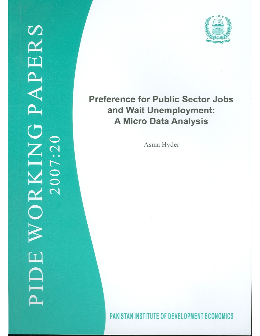

# **Preference for Public Sector Jobs** and Wait Unemployment: **A Micro Data Analysis**

Asma Hyder

PAKISTAN INSTITUTE OF DEVELOPMENT ECONOMICS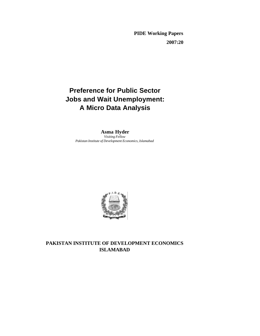**PIDE Working Papers 2007:20**

# **Preference for Public Sector Jobs and Wait Unemployment: A Micro Data Analysis**

**Asma Hyder** *Visiting Fellow Pakistan Institute of Development Economics, Islamabad*



## **PAKISTAN INSTITUTE OF DEVELOPMENT ECONOMICS ISLAMABAD**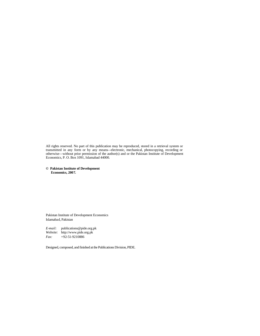All rights reserved. No part of this publication may be reproduced, stored in a retrieval system or transmitted in any form or by any means—electronic, mechanical, photocopying, recording or otherwise—without prior permission of the author(s) and or the Pakistan Institute of Development Economics, P. O. Box 1091, Islamabad 44000.

**© Pakistan Institute of Development Economics, 2007.**

Pakistan Institute of Development Economics Islamabad, Pakistan

*E-mail:* publications@pide.org.pk *Website:* http://www.pide.org.pk *Fax:* +92-51-9210886

Designed, composed, and finished at the Publications Division, PIDE.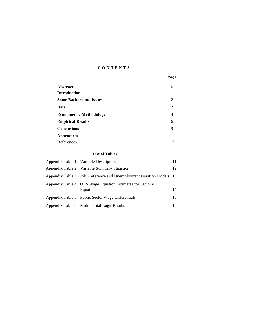### **CONTENTS**

|                                | Page |
|--------------------------------|------|
| Abstract                       | V    |
| Introduction                   | 1    |
| <b>Some Background Issues</b>  | 2    |
| Data                           | 2    |
| <b>Econometric Methodology</b> | 4    |
| <b>Empirical Results</b>       | 6    |
| <b>Conclusions</b>             | 9    |
| <b>Appendices</b>              | 11   |
| <b>References</b>              | 17   |

#### **List of Tables**

| Appendix Table 1. Variable Descriptions                                 |    |
|-------------------------------------------------------------------------|----|
| Appendix Table 2. Variable Summary Statistics                           | 12 |
| Appendix Table 3. Job Preference and Unemployment Duration Models 13    |    |
| Appendix Table 4. OLS Wage Equation Estimates for Sectoral<br>Equations | 14 |
| Appendix Table 5. Public Sector Wage Differentials                      | 15 |
| Appendix Table 6. Multinomial Logit Results                             | 16 |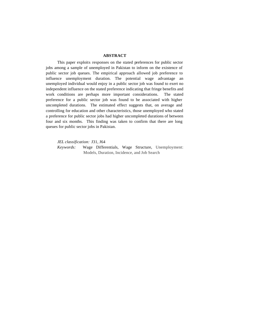#### **ABSTRACT**

This paper exploits responses on the stated preferences for public sector jobs among a sample of unemployed in Pakistan to inform on the existence of public sector job queues. The empirical approach allowed job preference to influence unemployment duration. The potential wage advantage an unemployed individual would enjoy in a public sector job was found to exert no independent influence on the stated preference indicating that fringe benefits and work conditions are perhaps more important considerations. The stated preference for a public sector job was found to be associated with higher uncompleted durations. The estimated effect suggests that, on average and controlling for education and other characteristics, those unemployed who stated a preference for public sector jobs had higher uncompleted durations of between four and six months. This finding was taken to confirm that there are long queues for public sector jobs in Pakistan.

*JEL classification:* J31, J64

*Keywords:* Wage Differentials, Wage Structure, Unemployment: Models, Duration, Incidence, and Job Search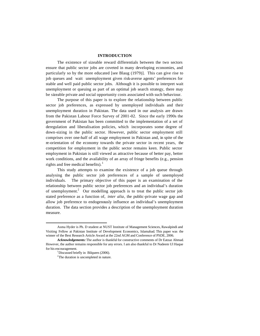#### **INTRODUCTION**

The existence of sizeable reward differentials between the two sectors ensure that public sector jobs are coveted in many developing economies, and particularly so by the more educated [see Blaug (1979)]. This can give rise to job queues and wait unemployment given risk-averse agents' preferences for stable and well paid public sector jobs. Although it is possible to interpret wait unemployment or queuing as part of an optimal job search strategy, there may be sizeable private and social opportunity costs associated with such behaviour.

The purpose of this paper is to explore the relationship between public sector job preferences, as expressed by unemployed individuals and their unemployment duration in Pakistan. The data used in our analysis are drawn from the Pakistan Labour Force Survey of 2001-02. Since the early 1990s the government of Pakistan has been committed to the implementation of a set of deregulation and liberalisation policies, which incorporates some degree of down-sizing in the public sector. However, public sector employment still comprises over one-half of all wage employment in Pakistan and, in spite of the re-orientation of the economy towards the private sector in recent years, the competition for employment in the public sector remains keen. Public sector employment in Pakistan is still viewed as attractive because of better pay, better work conditions, and the availability of an array of fringe benefits (e.g., pension rights and free medical benefits).<sup>1</sup>

This study attempts to examine the existence of a job queue through analysing the public sector job preferences of a sample of unemployed individuals. The primary objective of this paper is an examination of the relationship between public sector job preferences and an individual's duration of unemployment.<sup>2</sup> Our modelling approach is to treat the public sector job stated preference as a function of, *inter alia*, the public-private wage gap and allow job preference to endogenously influence an individual's unemployment duration. The data section provides a description of the unemployment duration measure.

Asma Hyder is Ph. D student at NUST Institute of Management Sciences, Rawalpindi and Visiting Fellow at Pakistan Institute of Development Economics, Islamabad. This paper was the winner of the Best Research Article Award at the 22nd AGM and Conference of PSDE, 2006.

*Acknowledgements:* The author is thankful for constructive comments of Dr Eatzaz Ahmad. However, the author remains responsible for any errors. I am also thankful to Dr Nadeem Ul Haque for his encouragement.

<sup>&</sup>lt;sup>1</sup>Discussed briefly in Bilquees (2006).

<sup>&</sup>lt;sup>2</sup>The duration is uncompleted in nature.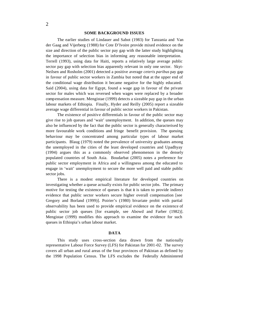#### **SOME BACKGROUND ISSUES**

The earlier studies of Lindauer and Sabot (1983) for Tanzania and Van der Gaag and Vijerberg (1988) for Cote D'Ivoire provide mixed evidence on the size and direction of the public sector pay gap with the latter study highlighting the importance of selection bias in informing any reasonable interpretation. Terrell (1993), using data for Haiti, reports a relatively large average public sector pay gap with selection bias apparently relevant in only one sector. Skyt-Neilsen and Rosholm (2001) detected a positive average *ceteris paribus* pay gap in favour of public sector workers in Zambia but noted that at the upper end of the conditional wage distribution it became negative for the highly educated. Said (2004), using data for Egypt, found a wage gap in favour of the private sector for males which was reversed when wages were replaced by a broader compensation measure. Mengistae (1999) detects a sizeable pay gap in the urban labour markets of Ethiopia. Finally, Hyder and Reilly (2005) report a sizeable average wage differential in favour of public sector workers in Pakistan.

The existence of positive differentials in favour of the public sector may give rise to job queues and 'wait' unemployment. In addition, the queues may also be influenced by the fact that the public sector is generally characterised by more favourable work conditions and fringe benefit provision. The queuing behaviour may be concentrated among particular types of labour market participants. Blaug (1979) noted the prevalence of university graduates among the unemployed in the cities of the least developed countries and Upadhyay (1994) argues this as a commonly observed phenomenon in the densely populated countries of South Asia. Boudarbat (2005) notes a preference for public sector employment in Africa and a willingness among the educated to engage in 'wait' unemployment to secure the more well paid and stable public sector jobs.

There is a modest empirical literature for developed countries on investigating whether a queue actually exists for public sector jobs. The primary motive for testing the existence of queues is that it is taken to provide indirect evidence that public sector workers secure higher overall compensation [see Gregory and Borland (1999)]. Poirier's (1980) bivariate probit with partial observability has been used to provide empirical evidence on the existence of public sector job queues [for example, see Abowd and Farber (1982)]. Mengistae (1999) modifies this approach to examine the evidence for such queues in Ethiopia's urban labour market.

#### **DATA**

This study uses cross-section data drawn from the nationally representative Labour Force Survey (LFS) for Pakistan for 2001-02. The survey covers all urban and rural areas of the four provinces of Pakistan as defined by the 1998 Population Census. The LFS excludes the Federally Administered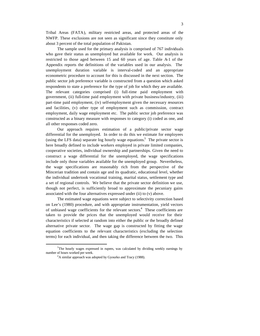Tribal Areas (FATA), military restricted areas, and protected areas of the NWFP. These exclusions are not seen as significant since they constitute only about 3 percent of the total population of Pakistan.

The sample used for the primary analysis is comprised of 767 individuals who gave their status as unemployed but available for work. Our analysis is restricted to those aged between 15 and 60 years of age. Table A-1 of the Appendix reports the definitions of the variables used in our analysis. The unemployment duration variable is interval-coded and an appropriate econometric procedure to account for this is discussed in the next section. The public sector job preference variable is constructed from a question which asked respondents to state a preference for the type of job for which they are available. The relevant categories comprised (i) full-time paid employment with government, (ii) full-time paid employment with private business/industry, (iii) part-time paid employment, (iv) self-employment given the necessary resources and facilities, (v) other type of employment such as commission, contract employment, daily wage employment etc. The public sector job preference was constructed as a binary measure with responses to category (i) coded as one, and all other responses coded zero.

Our approach requires estimation of a public/private sector wage differential for the unemployed. In order to do this we estimate for employees (using the LFS data) separate log hourly wage equations.<sup>3</sup> The private sector is here broadly defined to include workers employed in private limited companies, cooperative societies, individual ownership and partnerships. Given the need to construct a wage differential for the unemployed, the wage specifications include only those variables available for the unemployed group. Nevertheless, the wage specifications are reasonably rich from the perspective of the Mincerian tradition and contain age and its quadratic, educational level, whether the individual undertook vocational training, marital status, settlement type and a set of regional controls. We believe that the private sector definition we use, though not perfect, is sufficiently broad to approximate the pecuniary gains associated with the four alternatives expressed under (ii) to (v) above.

The estimated wage equations were subject to selectivity correction based on Lee's (1980) procedure, and with appropriate instrumentation, yield vectors of unbiased wage coefficients for the relevant sectors.<sup>4</sup> These coefficients are taken to provide the prices that the unemployed would receive for their characteristics if selected at random into either the public or the broadly defined alternative private sector. The wage gap is constructed by fitting the wage equation coefficients to the relevant characteristics (excluding the selection terms) for each individual, and then taking the difference between the two. This

<sup>&</sup>lt;sup>3</sup>The hourly wages expressed in rupees, was calculated by dividing weekly earnings by number of hours worked per week.

<sup>&</sup>lt;sup>4</sup>A similar approach was adopted by Gyourko and Tracy (1988).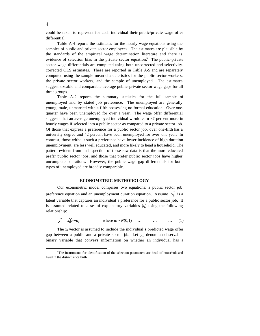could be taken to represent for each individual their public/private wage offer differential.

Table A-4 reports the estimates for the hourly wage equations using the samples of public and private sector employees. The estimates are plausible by the standards of the empirical wage determination literature and there is evidence of selection bias in the private sector equation.<sup>5</sup> The public -private sector wage differentials are computed using both uncorrected and selectivitycorrected OLS estimates. These are reported in Table A-5 and are separately computed using the sample mean characteristics for the public sector workers, the private sector workers, and the sample of unemployed. The estimates suggest sizeable and comparable average public-private sector wage gaps for all three groups.

Table A-2 reports the summary statistics for the full sample of unemployed and by stated job preference. The unemployed are generally young, male, unmarried with a fifth possessing no formal education. Over onequarter have been unemployed for over a year. The wage offer differential suggests that an average unemployed individual would earn 37 percent more in hourly wages if selected into a public sector as compared to a private sector job. Of those that express a preference for a public sector job, over one-fifth has a university degree and 42 percent have been unemployed for over one year. In contrast, those without such a preference have lower incidence of high duration unemployment, are less well educated, and more likely to head a household. The pattern evident from an inspection of these raw data is that the more educated prefer public sector jobs, and those that prefer public sector jobs have higher uncompleted durations. However, the public wage gap differentials for both types of unemployed are broadly comparable.

#### **ECONOMETRIC METHODOLOGY**

Our econometric model comprises two equations: a public sector job preference equation and an unemployment duration equation. Assume  $y_{1i}^*$  is a latent variable that captures an individual's preference for a public sector job. It is assumed related to a set of explanatory variables  $(x_i)$  using the following relationship:

$$
y_{1i}^* = x_1'\beta + u_i \qquad \text{where } u_i \sim N(0,1) \quad \dots \quad \dots \quad \dots \quad (1)
$$

The  $x_i$  vector is assumed to include the individual's predicted wage offer gap between a public and a private sector job. Let *y*1*<sup>i</sup>* denote an observable binary variable that conveys information on whether an individual has a

 $5$ The instruments for identification of the selection parameters are head of household and lived in the district since birth.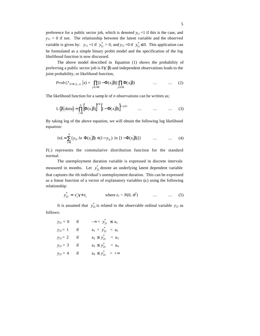preference for a public sector job, which is denoted  $y_{1i} = 1$  if this is the case, and  $y_{1i} = 0$  if not. The relationship between the latent variable and the observed variable is given by:  $y_{1i} = 1$  if  $y_{1i}^* > 0$ , and  $y_{1i} = 0$  if  $y_{1i}^* \le 0$ . This application can be formulated as a simple binary probit model and the specification of the log likelihood function is now discussed.

The above model described in Equation (1) shows the probability of preferring a public sector job is F(*x*′β) and independent observations leads to the joint probability, or likelihood function,

$$
Prob\left(\text{? }_{1i=1,2...n} \; \Big| x\right) = \prod_{y1 \neq 0} [1 - \Phi(x_1^{\prime} \beta)] \prod_{y1 \neq 1} \Phi(x_1^{\prime} \beta) \quad \dots \quad \dots \quad (2)
$$

The likelihood function for a samp le of *n* observations can be written as;

$$
L\langle \beta | data \rangle = \prod_{i=1}^{n} \Big[ \Phi(x_i \beta) \Big]^{y1i} \Big[ 1 - \Phi(x_i \beta) \Big]^{1-y1i} \qquad \dots \qquad \dots \qquad \dots \qquad (3)
$$

By taking log of the above equation, we will obtain the following log likelihood equation:

$$
ln L = \sum_{i=1}^{n} \{ y_{1i} \ ln \ \Phi(x_i | \beta) + (1 - y_{1i}) \ ln \ [1 - \Phi(x_i | \beta)] \} \qquad \dots \qquad \dots \qquad (4)
$$

F(.) represents the commulative distribution function for the standard normal.

The unemployment duration variable is expressed in discrete intervals measured in months. Let  $y_{2i}^*$  denote an underlying latent dependent variable that captures the *i*th individual's unemployment duration. This can be expressed as a linear function of a vector of explanatory variables  $(z_i)$  using the following relationship:

$$
y_{2i}^* = z_i' \gamma + e_i \qquad \text{where } e_i \sim N(0, \sigma^2) \qquad \dots \qquad \dots \qquad (5)
$$

It is assumed that  $y_{2i}^*$  is related to the observable ordinal variable  $y_{2i}$  as follows:

$$
y_{2i} = 0 \t\t \text{if} \t\t -\infty < y_{2i}^{*} \le a_1
$$
  
\n
$$
y_{2i} = 1 \t\t \text{if} \t\t a_1 < y_{2i}^{*} < a_2
$$
  
\n
$$
y_{2i} = 2 \t\t \text{if} \t\t a_2 \le y_{2i}^{*} < a_3
$$
  
\n
$$
y_{2i} = 3 \t\t \text{if} \t\t a_3 \le y_{2i}^{*} < a_4
$$
  
\n
$$
y_{2i} = 4 \t\t \text{if} \t\t a_4 \le y_{2i}^{*} < +\infty
$$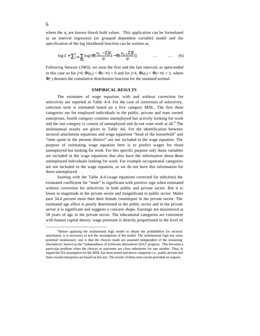where the  $a_j$  are known thresh hold values. This application can be formulated as an interval regression (or grouped dependent variable) model and the specification of the log likelihood function can be written as,

$$
\log L = \sum_{j=0}^{4} \sum_{i \in k} \log \{ \Phi[\frac{a_k - \mathbf{Z}_i \boldsymbol{\beta}}{\sigma} ] - \Phi[\frac{a_{k-1} \mathbf{Z}_i \boldsymbol{\beta}}{\sigma} ] \} \qquad \dots \qquad \dots \qquad (6)
$$

Following Stewart (1983), we treat the first and the last intervals as open-ended in this case so for  $j=0$ ,  $\Phi(a_i) = \Phi(-\infty) = 0$  and for  $j=4$ ,  $\Phi(a_i) = \Phi(+\infty) = 1$ , where  $\Phi(\cdot)$  denotes the cumulative distribution function for the standard normal.

#### **EMPIRICAL RESULTS**

The estimates of wage equation, with and without correction for selectivity are reported in Table A-4. For the case of correction of selectivity, selection term is estimated based on a five category MNL. The first three categories are for employed individuals in the public, private and state owned enterprises, fourth category contains unemployed but actively looking for work and the last category is consist of unemployed and do not want work at all.<sup>6</sup> The multinomial results are given in Table A-6. For the identification between sectoral attachment equations and wage equations "head of the household" and "time spent in the present district" are not included in the wage equation. The purpose of estimating wage equation here is to predict wages for those unemployed but looking for work. For this specific purpose only those variables are included in the wage equations that also have the information about those unemployed individuals looking for work. For example occupational categories are not included in the wage equation, as we do not have this information for those unemployed.

Starting with the Table A-4 (wage equations corrected for selection) the estimated coefficient for "male" is significant with positive sign when estimated without correction for selectivity in both public and private sector. But it is lower in magnitude in the private sector and insignificant in public sector. Males earn 34.4 percent more then their female counterpart in the private sector. The estimated age effect is poorly determined in the public sector and in the private sector it is significant and suggests a concave shape. Earnings are maximised at 58 years of age in the private sector. The educational categories are consistent with human capital theory; wage premium is directly proportional to the level of

<sup>&</sup>lt;sup>6</sup>Before applying the multinomial logit model to obtain the probabilities for sectoral attachment, it is necessary to test the assumptions of the model. The multinomial logit has some potential weaknesses; one is that the choices made are assumed independent of the remaining alternatives, known as the "independence of irrelevant alternatives (IIA)" property. This becomes a particular problem when the choices or outcomes are close substitutes for one another. Thus, in regard the IIA assumption for the MNL has been tested and above categories i.e., public private and State owned enterprises are based on this test. The results of these tests can be provided on request.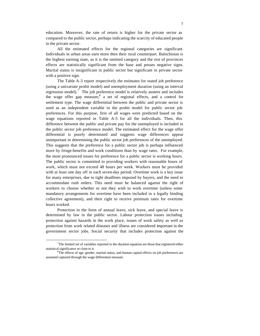education. Moreover, the rate of return is higher for the private sector as compared to the public sector, perhaps indicating the scarcity of educated people in the private sector.

All the estimated effects for the regional categories are significant. Individuals in urban areas earn more then their rural counterpart. Balochistan is the highest earning state, as it is the omitted category and the rest of provinces effects are statistically significant from the base and posses negative signs. Marital status is insignificant in public sector but significant in private sector with a positive sign.

The Table A-3 report respectively the estimates for stated job preference (using a univariate probit model) and unemployment duration (using an interval regression model).<sup>7</sup> The job preference model is relatively austere and includes the wage offer gap measure,<sup>8</sup> a set of regional effects, and a control for settlement type. The wage differential between the public and private sector is used as an independent variable in the probit model for public sector job preferences. For this purpose, first of all wages were predicted based on the wage equations reported in Table A-5 for all the individuals. Then, this difference between the public and private pay for the unemployed is included in the public sector job preference model. The estimated effect for the wage offer differential is poorly determined and suggests wage differences appear unimportant in determining the public sector job preferences of the unemployed. This suggests that the preference for a public sector job is perhaps influenced more by fringe-benefits and work conditions than by wage rates. For example, the most pronounced issues for preference for a public sector is working hours. The public sector is committed to providing workers with reasonable hours of work, which must not exceed 48 hours per week. Workers must be provided with at least one day off in each seven-day period. Overtime work is a key issue for many enterprises, due to tight deadlines imposed by buyers, and the need to accommodate rush orders. This need must be balanced against the right of workers to choose whether or not they wish to work overtime (unless some mandatory arrangements for overtime have been included in a legally binding collective agreement), and their right to receive premium rates for overtime hours worked.

Protection in the form of annual leave, sick leave, and special leave is determined by law in the public sector. Labour protection issues including protection against hazards in the work place, issues of work safety as well as protection from work related diseases and illness are considered important in the government sector jobs. Social security that includes protection against the

 $<sup>7</sup>$ The limited set of variables reported in the duration equation are those that registered either</sup> statistical significance or close to it.

<sup>&</sup>lt;sup>8</sup>The effects of age, gender, marital status, and human capital effects on job preferences are assumed captured through the wage differential measure.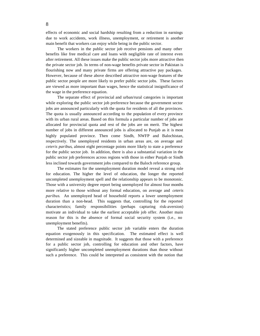effects of economic and social hardship resulting from a reduction in earnings due to work accidents, work illness, unemployment, or retirement is another main benefit that workers can enjoy while being in the public sector.

The workers in the public sector job receive pensions and many other benefits like free medical care and loans with negligible rate of interest even after retirement. All these issues make the public sector jobs more attractive then the private sector job. In terms of non-wage benefits private sector in Pakistan is flourishing now and many private firms are offering attractive pay packages. However, because of these above described attractive non-wage features of the public sector people are more likely to prefer public sector jobs. These factors are viewed as more important than wages, hence the statistical insignificance of the wage in the preference equation.

The separate effect of provincial and urban/rural categories is important while exploring the public sector job preference because the government sector jobs are announced particularly with the quota for residents of all the provinces. The quota is usually announced according to the population of every province with its urban rural areas. Based on this formula a particular number of jobs are allocated for provincial quota and rest of the jobs are on merit. The highest number of jobs in different announced jobs is allocated to Punjab as it is most highly populated province. Then come Sindh, NWFP and Balochistan, respectively. The unemployed residents in urban areas are, on average and *ceteris paribus*, almost eight percentage points more likely to state a preference for the public sector job. In addition, there is also a substantial variation in the public sector job preferences across regions with those in either Punjab or Sindh less inclined towards government jobs compared to the Baloch reference group.

The estimates for the unemployment duration model reveal a strong role for education. The higher the level of education, the longer the reported uncompleted unemployment spell and the relationship appears to be monotonic. Those with a university degree report being unemployed for almost four months more relative to those without any formal education, on average and *ceteris paribus*. An unemployed head of household reports a lower unemployment duration than a non-head. This suggests that, controlling for the reported characteristics; family responsibilities (perhaps capturing risk-aversion) motivate an individual to take the earliest acceptable job offer. Another main reason for this is the absence of formal social security system (i.e., no unemployment benefits).

The stated preference public sector job variable enters the duration equation exogenously in this specification. The estimated effect is well determined and sizeable in magnitude. It suggests that those with a preference for a public sector job, controlling for education and other factors, have significantly higher uncompleted unemployment durations than those without such a preference. This could be interpreted as consistent with the notion that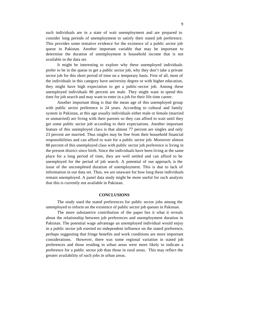such individuals are in a state of wait unemployment and are prepared to consider long periods of unemployment to satisfy their stated job preference. This provides some tentative evidence for the existence of a public sector job queue in Pakistan. Another important variable that may be important to determine the duration of unemployment is household income that is not available in the data set.

It might be interesting to explore why these unemployed individuals prefer to be in the queue to get a public sector job, why they don't take a private sector job for this short period of time on a temporary basis. First of all, most of the individuals in this category have university degree or with higher education, they might have high expectation to get a public-sector job. Among these unemployed individuals 86 percent are male. They might want to spend this time for job search and may want to enter in a job for their life time career.

Another important thing is that the mean age of this unemployed group with public sector preference is 24 years. According to cultural and family system in Pakistan, at this age usually individuals either male or female (married or unmarried) are living with their parents so they can afford to wait until they get some public sector job according to their expectations. Another important feature of this unemployed class is that almost 77 percent are singles and only 23 percent are married. Thus singles may be free from their household financial responsibilities and can afford to wait for a public sector job. Moreover almost 88 percent of this unemployed class with public sector job preference is living in the present district since birth. Since the individuals have been living at the same place for a long period of time, they are well settled and can afford to be unemployed for the period of job search. A potential of our approach, is the issue of the uncompleted duration of unemployment. This is due to lack of information in our data set. Thus, we are unaware for how long these individuals remain unemployed. A panel data study might be more useful for such analysis that this is currently not available in Pakistan.

#### **CONCLUSIONS**

The study used the stated preferences for public sector jobs among the unemployed to inform on the existence of public sector job queues in Pakistan.

The more substantive contribution of the paper lies it what it reveals about the relationship between job preferences and unemployment duration in Pakistan. The potential wage advantage an unemployed individual would enjoy in a public sector job exerted no independent influence on the stated preference, perhaps suggesting that fringe benefits and work conditions are more important considerations. However, there was some regional variation in stated job preferences and those residing in urban areas were more likely to indicate a preference for a public sector job than those in rural areas. This may reflect the greater availability of such jobs in urban areas.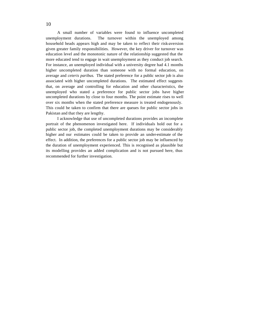A small number of variables were found to influence uncompleted unemployment durations. The turnover within the unemployed among household heads appears high and may be taken to reflect their risk-aversion given greater family responsibilities. However, the key driver for turnover was education level and the monotonic nature of the relationship suggested that the more educated tend to engage in wait unemployment as they conduct job search. For instance, an unemployed individual with a university degree had 4.1 months higher uncompleted duration than someone with no formal education, on average and *ceteris paribus*. The stated preference for a public sector job is also associated with higher uncompleted durations. The estimated effect suggests that, on average and controlling for education and other characteristics, the unemployed who stated a preference for public sector jobs have higher uncompleted durations by close to four months. The point estimate rises to well over six months when the stated preference measure is treated endogenously. This could be taken to confirm that there are queues for public sector jobs in Pakistan and that they are lengthy.

I acknowledge that use of uncompleted durations provides an incomplete portrait of the phenomenon investigated here. If individuals hold out for a public sector job, the completed unemployment durations may be considerably higher and our estimates could be taken to provide an under-estimate of the effect. In addition, the preferences for a public sector job may be influenced by the duration of unemployment experienced. This is recognised as plausible but its modelling provides an added complication and is not pursued here, thus recommended for further investigation.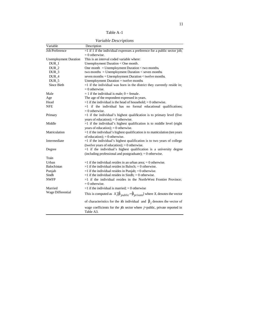Table A-1

*Variable Descriptions*

| Variable                     | Description                                                                                                     |
|------------------------------|-----------------------------------------------------------------------------------------------------------------|
| Job Preference               | $=$ 1 if 1 if the individual expresses a preference for a public sector job;                                    |
|                              | $= 0$ otherwise.                                                                                                |
| <b>Unemployment Duration</b> | This is an interval coded variable where:                                                                       |
| $DUR_1$                      | Unemployment Duration < One month.                                                                              |
| DUR <sub>2</sub>             | One month $=$ Unemployment Duration $\lt$ two months.                                                           |
| DUR <sub>3</sub>             | two months = Unemployment Duration $\lt$ seven months                                                           |
| DUR_4                        | seven months = Unemployment Duration < twelve months.                                                           |
| DUR <sub>5</sub>             | Unemployment Duration = twelve months                                                                           |
| Since Birth                  | $=1$ if the individual was born in the district they currently reside in;                                       |
|                              | $= 0$ otherwise.                                                                                                |
| Male                         | $= 1$ if the individual is male; 0 = female.                                                                    |
| Age                          | The age of the respondent expressed in years.                                                                   |
| Head                         | $=1$ if the individual is the head of household: $= 0$ otherwise.                                               |
| <b>NFE</b>                   | $=1$ if the individual has no formal educational qualifications;                                                |
|                              | $= 0$ otherwise.                                                                                                |
| Primary                      | $=1$ if the individual's highest qualification is to primary level (five                                        |
|                              | years of education); $= 0$ otherwise.                                                                           |
| Middle                       | =1 if the individual's highest qualification is to middle level (eight                                          |
|                              | years of education); $= 0$ otherwise.                                                                           |
| Matriculation                | $=$ 1 if the individual's highest qualification is to matriculation (ten years                                  |
|                              | of education); $= 0$ otherwise.                                                                                 |
| Intermediate                 | $=1$ if the individual's highest qualification is to two years of college                                       |
|                              | (twelve years of education); $= 0$ otherwise.                                                                   |
| Degree                       | $=1$ if the individual's highest qualification is a university degree                                           |
|                              | (including professional and postgraduate); $= 0$ otherwise.                                                     |
| Train                        |                                                                                                                 |
| Urban                        | $=1$ if the individual resides in an urban area; $= 0$ otherwise.                                               |
| <b>Balochistan</b>           | $=1$ if the individual resides in Baloch; $= 0$ otherwise.                                                      |
| Punjab                       | $=1$ if the individual resides in Punjab; $=0$ otherwise.                                                       |
| Sindh                        | $=1$ if the individual resides in Sindh; $= 0$ otherwise.                                                       |
| <b>NWFP</b>                  | $=1$ if the individual resides in the North-West Frontier Province;                                             |
|                              | $= 0$ otherwise.                                                                                                |
| Married                      | $=1$ if the individual is married; $= 0$ otherwise                                                              |
| Wage Differential            | This is computed as $X_i^{\prime}[\hat{\beta}_{public} - \hat{\beta}_{private}]$ where $X_i$ denotes the vector |
|                              | of characteristics for the <i>i</i> th individual and $\hat{\beta}_i$ denotes the vector of                     |
|                              | wage coefficients for the $j$ th sector where $j$ =public, private reported in<br>Table A3.                     |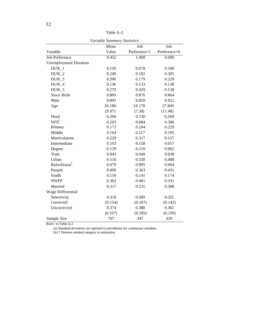|                              | variable Summary Statistics |              |              |
|------------------------------|-----------------------------|--------------|--------------|
|                              | Mean                        | Job          | Job          |
| Variable                     | Value                       | Preference=1 | Preference=0 |
| <b>Job Preference</b>        | 0.452                       | 1.000        | 0.000        |
| <b>Unemployment Duration</b> |                             |              |              |
| DUR <sub>1</sub>             | 0.139                       | 0.078        | 0.190        |
| $DUR_2$                      | 0.249                       | 0.182        | 0.305        |
| $DUR_3$                      | 0.206                       | 0.179        | 0.229        |
| DUR_4                        | 0.136                       | 0.133        | 0.138        |
| DUR_5                        | 0.270                       | 0.429        | 0.138        |
| Since Birth                  | 0.869                       | 0.876        | 0.864        |
| Male                         | 0.893                       | 0.859        | 0.921        |
| Age                          | 26.186                      | 24.178       | 27.845       |
|                              | (9.97)                      | (7.30)       | (11.48)      |
| Head                         | 0.206                       | 0.130        | 0.269        |
| $NFE^{\dagger}$              | 0.203                       | 0.084        | 0.300        |
| Primary                      | 0.172                       | 0.104        | 0.229        |
| Middle                       | 0.164                       | 0.127        | 0.195        |
| Matriculation                | 0.229                       | 0.317        | 0.157        |
| Intermediate                 | 0.103                       | 0.158        | 0.057        |
| Degree                       | 0.129                       | 0.210        | 0.062        |
| Train                        | 0.043                       | 0.049        | 0.038        |
| Urban                        | 0.516                       | 0.550        | 0.488        |
| Balochistan <sup>†</sup>     | 0.079                       | 0.095        | 0.064        |
| Punjab                       | 0.400                       | 0.363        | 0.431        |
| Sindh                        | 0.159                       | 0.141        | 0.174        |
| <b>NWFP</b>                  | 0.362                       | 0.401        | 0.331        |
| Married                      | 0.317                       | 0.231        | 0.388        |
| Wage Differential            |                             |              |              |
| Selectivity                  | 0.318                       | 0.309        | 0.325        |
| Corrected                    | (0.154)                     | (0.167)      | (0.142)      |
| Uncorrected                  | 0.374                       | 0.388        | 0.362        |
|                              | (0.167)                     | (0.185)      | (0.150)      |
| Sample Size                  | 767                         | 347          | 420          |

*Variable Summary Statistics*

*Notes:* to Table A-2.

(a) Standard deviations are reported in parentheses for continuous variables.

(b) † Denotes omitted category in estimation.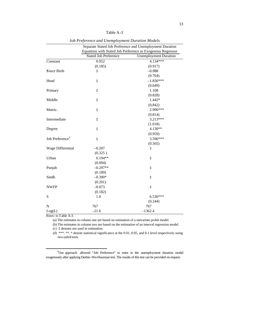Table A-3

|                             | Separate Stated Job Preference and Unemployment Duration |                                                             |  |  |
|-----------------------------|----------------------------------------------------------|-------------------------------------------------------------|--|--|
|                             |                                                          | Equations with Stated Job Preference as Exogenous Regressor |  |  |
|                             | <b>Stated Job Preference</b>                             | <b>Unemployment Duration</b>                                |  |  |
| Constant                    | 0.052                                                    | 4.134***                                                    |  |  |
|                             | (0.185)                                                  | (0.917)                                                     |  |  |
| Since Birth                 | $\ddagger$                                               | $-0.988$                                                    |  |  |
|                             |                                                          | (0.764)                                                     |  |  |
| Head                        | ţ                                                        | $-1.836***$                                                 |  |  |
|                             |                                                          | (0.649)                                                     |  |  |
| Primary                     | ţ                                                        | 1.108                                                       |  |  |
|                             |                                                          | (0.828)                                                     |  |  |
| Middle                      | ţ                                                        | 1.442*                                                      |  |  |
|                             |                                                          | (0.842)                                                     |  |  |
| Matric.                     | $\ddagger$                                               | 2.996***                                                    |  |  |
|                             |                                                          | (0.814)                                                     |  |  |
| Intermediate                | $\ddagger$                                               | 3.213***                                                    |  |  |
|                             |                                                          | (1.018)                                                     |  |  |
| Degree                      | $\ddagger$                                               | 4.130**                                                     |  |  |
|                             |                                                          | (0.959)                                                     |  |  |
| Job Preference <sup>9</sup> | $\ddagger$                                               | 3.596***                                                    |  |  |
|                             |                                                          | (0.565)                                                     |  |  |
| Wage Differential           | $-0.207$                                                 | ţ                                                           |  |  |
|                             | (0.325)                                                  |                                                             |  |  |
| Urban                       | $0.194**$                                                | $\ddagger$                                                  |  |  |
|                             | (0.094)                                                  |                                                             |  |  |
| Punjab                      | $-0.297**$                                               | ţ                                                           |  |  |
|                             | (0.189)                                                  |                                                             |  |  |
| Sindh                       | $-0.390*$                                                | ţ                                                           |  |  |
|                             | (0.201)                                                  |                                                             |  |  |
| <b>NWFP</b>                 | $-0.073$                                                 | $\ddagger$                                                  |  |  |
|                             | (0.182)                                                  |                                                             |  |  |
| S                           | 1.0                                                      | $6.536***$                                                  |  |  |
|                             |                                                          | (0.244)                                                     |  |  |
| $\mathbf N$                 | 767                                                      | 767                                                         |  |  |
| Log(L)                      | $-21.6$                                                  | $-1362.4$                                                   |  |  |

*Job Preference and Unemployment Duration Models*

*Notes:* to Table A-3.

 $\overline{a}$ 

(a) The estimates in column one are based on estimation of a univariate probit model.

(b) The estimates in column two are based on the estimation of an interval regression model.

(c) ‡ denotes not used in estimation.

(d) \*\*\*, \*\*, \* denote statistical significance at the 0.01, 0.05, and 0.1 level respectively using two tailed tests.

<sup>9</sup>Our approach allowed "Job Preference" to enter in the unemployment duration model exogenously after applying Durbin -Wu-Hausman test. The results of this test can be provided on request.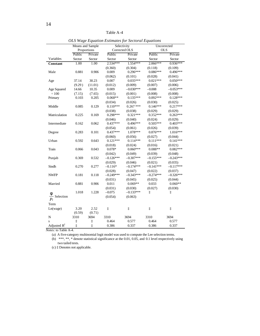| - - <u>.</u> . -<br>.<br><sub></sub><br>Selectivity<br>Means and Sample<br>Uncorrected |                 |             |                       |                        |                       |                       |  |
|----------------------------------------------------------------------------------------|-----------------|-------------|-----------------------|------------------------|-----------------------|-----------------------|--|
|                                                                                        |                 | Proportions | Corrected OLS         |                        | <b>OLS</b>            |                       |  |
|                                                                                        | Public          | Private     | Public<br>Private     |                        | Public                | Private               |  |
| Variables                                                                              | Sector          | Sector      | Sector                | Sector                 | Sector                | Sector                |  |
| Constant                                                                               | 1.00            | 1.00        | 2.534***              | 1.554***               | 2.066***              | 0.936***              |  |
|                                                                                        |                 |             | (0.360)               | (0.304)                | (0.118)               | (0.109)               |  |
| Male                                                                                   | 0.881           | 0.906       | 0.009                 | $0.296***$             | $0.086***$            | $0.496***$            |  |
|                                                                                        |                 |             | (0.062)               | (0.101)                | (0.028)               | (0.041)               |  |
| Age                                                                                    | 37.14           | 30.23       | 0.007                 | $0.035***$             | $0.021***$            | $0.050***$            |  |
|                                                                                        | (9.29)          | (11.01)     | (0.012)               | (0.009)                | (0.007)               | (0.006)               |  |
| Age Squared                                                                            | 14.66           | 10.35       | 0.009                 | $-0.030***$            | $-0.008$              | $-0.053***$           |  |
| $\div 100$                                                                             |                 | (7.65)      | (0.015)               | (0.001)                | (0.008)               | (0.008)               |  |
| Primary                                                                                | (7.15)<br>0.103 | 0.205       | $0.068**$             | $0.135***$             | $0.092***$            | $0.128***$            |  |
|                                                                                        |                 |             |                       |                        |                       |                       |  |
|                                                                                        | 0.085           | 0.129       | (0.034)<br>$0.110***$ | (0.026)<br>$0.267$ *** | (0.030)<br>$0.146***$ | (0.025)<br>$0.217***$ |  |
| Middle                                                                                 |                 |             |                       |                        |                       |                       |  |
|                                                                                        | 0.225           |             | (0.038)<br>0.298***   | (0.038)<br>$0.321***$  | (0.029)<br>$0.352***$ | (0.029)<br>$0.263***$ |  |
| Matriculation                                                                          |                 | 0.169       |                       |                        |                       |                       |  |
|                                                                                        |                 |             | (0.046)               | (0.040)                | (0.024)               | (0.029)               |  |
| Intermediate                                                                           | 0.162           | 0.062       | $0.437***$            | $0.496***$             | $0.505***$            | $0.403***$            |  |
|                                                                                        |                 |             | (0.054)               | (0.061)                | (0.026)               | (0.039)               |  |
| Degree                                                                                 | 0.283           | 0.101       | $0.437***$            | 1.078***               | $0.876***$            | $1.016***$            |  |
|                                                                                        |                 |             | (0.060)               | (0.056)                | (0.027)               | (0.044)               |  |
| Urban                                                                                  | 0.592           | 0.643       | $0.121***$            | $0.114***$             | $0.111***$            | $0.141***$            |  |
|                                                                                        |                 |             | (0.018)               | (0.024)                | (0.016)               | (0.021)               |  |
| Train                                                                                  | 0.066           | 0.043       | $0.078*$              | $0.060***$             | $0.088**$             | $0.082***$            |  |
|                                                                                        |                 |             | (0.042)               | (0.049)                | (0.039)               | (0.048)               |  |
| Punjab                                                                                 | 0.369           | 0.532       | $-0.126***$           | $-0.307***$            | $-0.155***$           | $-0.243***$           |  |
|                                                                                        |                 |             | (0.029)               | (0.046)                | (0.021)               | (0.035)               |  |
| Sindh                                                                                  | 0.270           | 0.277       | $-0.116*$             | $-0.174***$            | $-0.141***$           | $-0.117***$           |  |
|                                                                                        |                 |             | (0.028)               | (0.047)                | (0.022)               | (0.037)               |  |
| <b>NWFP</b>                                                                            | 0.181           | 0.118       | $-0.249***$           | $-0.343***$            | $-0.274***$           | $-0.326***$           |  |
|                                                                                        |                 |             | (0.031)               | (0.045)                | (0.025)               | (0.044)               |  |
| Married                                                                                | 0.881           | 0.906       | 0.011                 | $0.069**$              | 0.033                 | $0.060**$             |  |
|                                                                                        |                 |             | (0.031)               | (0.030)                | (0.027)               | (0.030)               |  |
|                                                                                        | 1.018           | 1.228       | $-0.075$              | $-0.133***$            | $\ddagger$            | $\ddagger$            |  |
| - Selection<br>$\overline{P_i}$                                                        |                 |             | (0.054)               | (0.063)                |                       |                       |  |
| Term                                                                                   |                 |             |                       |                        |                       |                       |  |
| Ln(wage)                                                                               | 3.20            | 2.52        | $\ddagger$            | $\ddagger$             | $\ddagger$            | $\ddagger$            |  |
|                                                                                        | (0.59)          | (0.71)      |                       |                        |                       |                       |  |
| ${\bf N}$                                                                              | 3310            | 3694        | 3310                  | 3694                   | 3310                  | 3694                  |  |
| $\mathbf{s}$                                                                           | $\ddagger$      | $\ddagger$  | 0.464                 | 0.577                  | 0.464                 | 0.577                 |  |
| Adjusted $R^2$                                                                         | $\ddagger$      | $\ddagger$  | 0.386                 | 0.337                  | 0.386                 | 0.337                 |  |

*OLS Wage Equation Estimates for Sectoral Equations*

*Notes:* to Table A-4.

(a) A five-category multinomial logit model was used to compute the Lee selection terms.

(b) \*\*\*, \*\*, \* denote statistical significance at the  $0.01, 0.05$ , and  $0.1$  level respectively using two tailed tests.

(c) ‡ Denotes not applicable.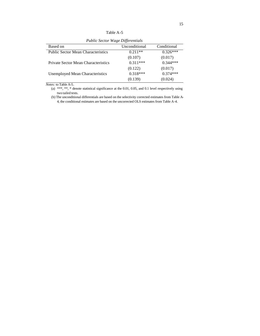| Unconditional | Conditional |
|---------------|-------------|
| $0.211**$     | $0.326***$  |
| (0.107)       | (0.017)     |
| $0.311***$    | $0.344***$  |
| (0.122)       | (0.017)     |
| $0.318***$    | $0.374***$  |
| (0.139)       | (0.024)     |
|               |             |

*Public Sector Wage Differentials*

*Notes:* to Table A-5.

(a) \*\*\*, \*\*, \* denote statistical significance at the 0.01, 0.05, and 0.1 level respectively using two tailed tests.

(b) The unconditional differentials are based on the selectivity corrected estimates from Table A-4, the conditional estimates are based on the uncorrected OLS estimates from Table A-4.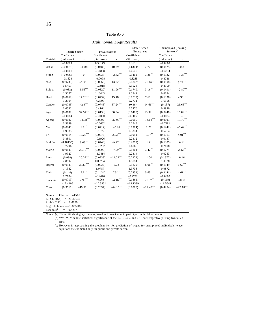| `able A- |  |  |
|----------|--|--|
|----------|--|--|

*Multinomial Logit Results*

|          |                    |                                 |                     |                            | <b>State Owned</b>    |                       | Unemployed (looking  |              |
|----------|--------------------|---------------------------------|---------------------|----------------------------|-----------------------|-----------------------|----------------------|--------------|
|          |                    | Public Sector<br>Private Sector |                     |                            | Enterprises           |                       | for work)            |              |
|          | Coefficient        |                                 | Coefficient         | Coefficient<br>Coefficient |                       |                       |                      |              |
| Variable | (Std. error)       | z                               | (Std. error)        | z                          | (Std. error)          | z                     | (Std. error)         | $\mathbf{z}$ |
|          | $-0.0509$          |                                 | 0.50149             |                            | 0.3616                |                       | $-0.0669$            |              |
| Urban    | $(-0.0576)$        | $-0.88$                         | (0.0482)            | $10.39***$                 | (0.1304)              | $2.77***$             | (0.0825)             | $-0.81$      |
|          | $-0.0001$          |                                 | $-0.1838$           |                            | 0.4570                |                       | $-0.3814$            |              |
| Sindh    | $(-0.0663)$        | $\overline{0}$                  | (0.0537)            | $-3.42***$                 | (0.1402)              | $3.26***$             | (0.1132)             | $-3.37***$   |
|          | $-0.1624$          |                                 | $-0.9099$           |                            | $-0.3285$             |                       | 0.4738               |              |
| Nwfp     | (0.0735)           | $-2.21$ **                      | (0.0663)            | $13.72***$                 | (0.1842)              | $-1.78***$            | (0.0908)             | $5.22***$    |
|          | 0.5451             |                                 | $-0.9918$           |                            | 0.5523                |                       | 0.4309               |              |
| Baloch   | (0.083)            | $6.56^{\ast\ast\ast}$           | (0.0829)            | $11.96***$                 | (0.1749)              | $3.16***$             | (0.1491)             | $-2.89***$   |
|          | 1.3257             |                                 | 1.13443             |                            | 1.3241                |                       | 0.6624               |              |
| Head     | (0.0769)           | $17.23***$                      | (0.0732)            | $15.48***$                 | (0.1739)              | $7.61^{\ast\ast\ast}$ | (0.1336)             | $4.96***$    |
|          | 3.3304             |                                 | 4.2695              |                            | 5.2771                |                       | 3.6556               |              |
| Gender   | (0.0785)           | $42.4***$                       | (0.0745)            | $57.24***$                 | (0.36)                | $14.66$ ***           | (0.137)              | $26.66$ ***  |
|          | 0.6533             |                                 | 0.4164              |                            | 0.5476                |                       | 0.3940               |              |
| Age      | (0.0189)           | $34.57***$                      | (0.0138)            | $30.04***$                 | (0.0408)              | $13.39***$            | (0.0248)             | $15.89***$   |
|          | $-0.0084$          |                                 | $-0.0060$           |                            | $-0.0072$             |                       | $-0.0056$            |              |
| Agesq    | (0.0002)           | $-34.98***$                     | (0.0002)            | $-32.09***$                | (0.0005)              | $-14.04$ ***          | (0.0003)             | $15.79***$   |
|          | 0.5849             |                                 | $-0.0682$           |                            | 0.2543                |                       | $-0.7981$            |              |
| Marr     | (0.0848)           | $6.9***$                        | (0.0714)            | $-0.96$                    | (0.1984)              | $1.28*$               | (0.1242)             | $-6.42$ ***  |
|          | 0.9385             |                                 | 0.1572              |                            | 0.3334                |                       | 0.5264               |              |
| Pri      | (0.0914)           | $10.26^{\ast\ast\ast}$          | (0.0673)            | $2.33***$                  | (0.1991)              | $1.67***$             | (0.1313)             | $4.01***$    |
|          | 0.8801             |                                 | $-0.6926$           |                            | 0.2312                |                       | 0.0147               |              |
| Middle   | (0.10135)          | $8.68^{\ast\ast\ast}$           | (0.0746)            | $-9.27***$                 | (0.2077)              | 1.11                  | (0.1385)             | 0.11         |
|          | 1.7296             |                                 | $-0.5282$           |                            | 0.6166                |                       | 0.2698               |              |
| Matric   | (0.0845)           | $\textbf{20.45}^{\ast\ast\ast}$ | (0.0696)            | $-7.59***$                 | (0.1804)              | $3.42***$             | (0.1274)             | $2.12***$    |
|          | 1.9927             |                                 | $-1.0414$           |                            | 0.2414                |                       | 0.0253               |              |
| Inter    | (0.098)<br>2.8992  | $\textbf{20.32}^{\ast\ast\ast}$ | (0.0939)<br>0.06754 | $-11.08***$                | (0.2322)<br>1.5154    | 1.04                  | (0.1577)             | 0.16         |
|          |                    | $\textbf{30.67}^{\ast\ast\ast}$ |                     | 0.73                       |                       | $8.06***$             | 1.0328               | $6.67***$    |
| Degree   | (0.0945)           |                                 | (0.0927)            |                            | (0.1879)              |                       | (0.1549)             |              |
|          | 1.1382             | $7.9***$                        | 1.0757              | $7.5***$                   | 1.3738                | $5.65***$             | 0.9872               | $4.61***$    |
| Train    | (0.144)            |                                 | (0.1434)            |                            | (0.2432)              |                       | (0.2141)             |              |
|          | 0.2104<br>(0.0719) | $2.93***$                       | $-0.2676$<br>(0.06) | $-4.46$ ***                | $-0.2732$<br>(0.1461) | $-1.87***$            | $-0.0680$<br>(0.119) |              |
| Sincebir | $-17.4406$         |                                 | $-10.5831$          |                            | $-18.1399$            |                       | $-11.5641$           | $-0.57$      |
|          | (0.3517)           | $-49.58***$                     | (0.2397)            | $-44.15***$                | (0.8088)              | $-22.43***$           | (0.4254)             | $-27.18***$  |
| Cons     |                    |                                 |                     |                            |                       |                       |                      |              |

Number of Obs = 41563

LR Chi2(64) = 24953.39

 $Prob > Chi2 = 0.0000$ 

Log Likelihood  $=-16835.085$ 

Pseudo  $R^2$  = 0.4257

*Notes:* (a) The omitted category is unemployed and do not want to participate in the labour market.

(b) \*\*\*, \*\*, \* denote statistical significance at the 0.01, 0.05, and 0.1 level respectively using two tailed tests.

(c) However in approaching the problem i.e., for prediction of wages for unemployed individuals, wage equations are estimated only for public and private sector.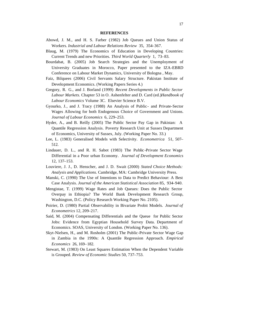#### **REFERENCES**

- Abowd, J. M., and H. S. Farber (1982) Job Queues and Union Status of Workers. *Industrial and Labour Relations Review* 35, 354–367.
- Blaug, M. (1979) The Economics of Education in Developing Countries: Current Trends and new Priorities. *Third World Quarterly* 1, 73–83.
- Bourdabat, B. (2005) Job Search Strategies and the Unemployment of University Graduates in Morocco, Paper presented to the IZA-EBRD Conference on Labour Market Dynamics, University of Bologna , May.
- Faiz, Bilquees (2006) Civil Servants Salary Structure. Pakistan Institute of Development Economics. (Working Papers Series 4.)
- Gregory, R. G., and J. Borland (1999) *Recent Developments in Public Sector Labour Markets.* Chapter 53 in O. Ashenfelter and D. Card (ed.)*Handbook of Labour Economics* Volume 3C. Elsevier Science B.V.
- Gyourko, J., and J. Tracy (1988) An Analysis of Public- and Private-Sector Wages Allowing for both Endogenous Choice of Government and Unions. *Journal of Labour Economics* 6, 229–253.
- Hyder, A., and B. Reilly (2005) The Public Sector Pay Gap in Pakistan: A Quantile Regression Analysis. Poverty Research Unit at Sussex Department of Economics, University of Sussex, July. (Working Paper No. 33.)
- Lee, L. (1983) Generalised Models with Selectivity. *Econometrica* 51, 507– 512.
- Lindauer, D. L., and R. H. Sabot (1983) The Public -Private Sector Wage Differential in a Poor urban Economy. *Journal of Development Economics* 12, 137–153.
- Louviere, J. J., D. Henscher, and J. D. Swait (2000) *Stated Choice Methods: Analysis and Applications.* Cambridge, MA: Cambridge University Press.
- Manski, C. (1990) The Use of Intentions to Data to Predict Behaviour: A Best Case Analysis. *Journal of the American Statistical Association* 85, 934–940.
- Mengistae, T. (1999) Wage Rates and Job Queues: Does the Public Sector Overpay in Ethiopia? The World Bank Development Research Group, Washington, D.C. (Policy Research Working Paper No. 2105).
- Poirier, D. (1980) Partial Observability in Bivariate Probit Models. *Journal of Econometrics* 12, 209–217.
- Said, M. (2004) Compensating Differentials and the Queue for Public Sector Jobs: Evidence from Egyptian Household Survey Data. Department of Economics. SOAS, University of London. (Working Paper No. 136).
- Skyt-Nielsen, H., and M. Rosholm (2001) The Public-Private Sector Wage Gap in Zambia in the 1990s: A Quantile Regression Approach. *Empirical Economics* 26, 169–182.
- Stewart, M. (1983) On Least Squares Estimation When the Dependent Variable is Grouped. *Review of Economic Studies* 50, 737–753.